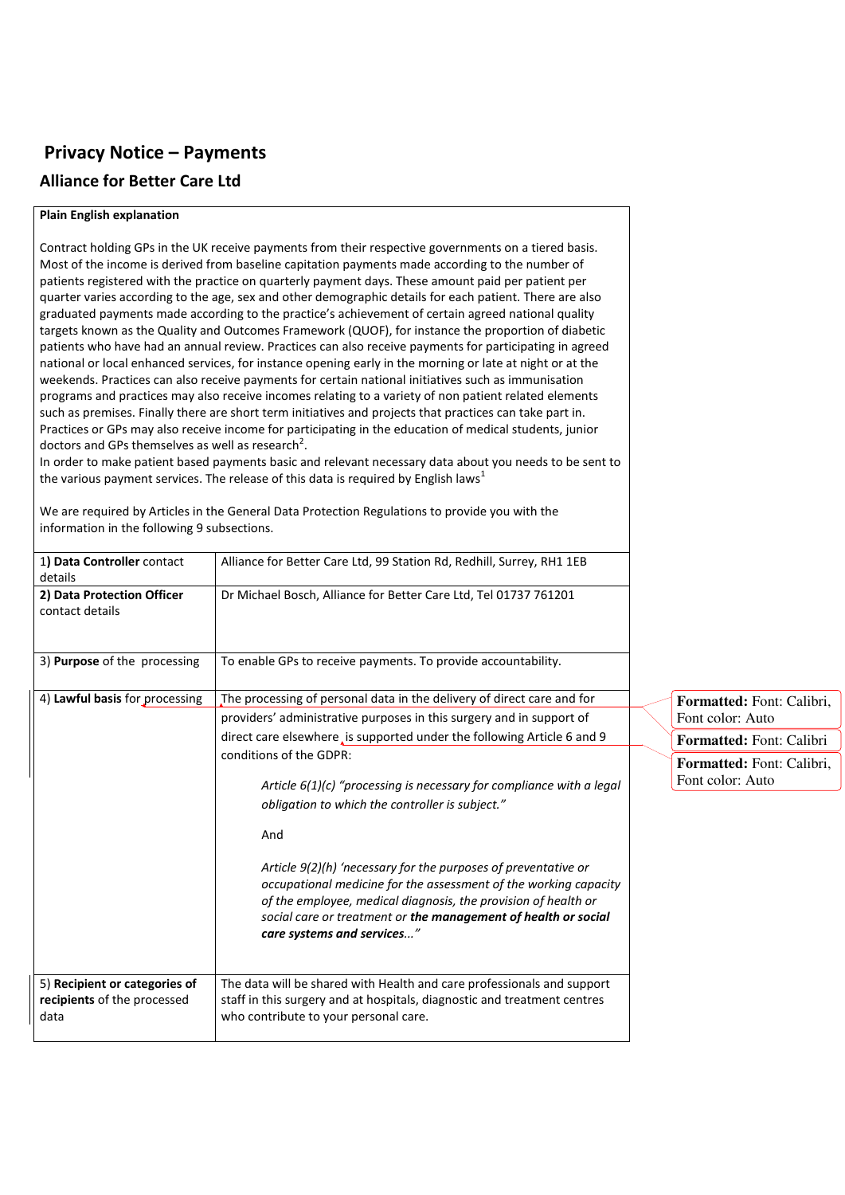## **Privacy Notice – Payments Alliance for Better Care Ltd**

## **Plain English explanation**

Contract holding GPs in the UK receive payments from their respective governments on a tiered basis. Most of the income is derived from baseline capitation payments made according to the number of patients registered with the practice on quarterly payment days. These amount paid per patient per quarter varies according to the age, sex and other demographic details for each patient. There are also graduated payments made according to the practice's achievement of certain agreed national quality targets known as the Quality and Outcomes Framework (QUOF), for instance the proportion of diabetic patients who have had an annual review. Practices can also receive payments for participating in agreed national or local enhanced services, for instance opening early in the morning or late at night or at the weekends. Practices can also receive payments for certain national initiatives such as immunisation programs and practices may also receive incomes relating to a variety of non patient related elements such as premises. Finally there are short term initiatives and projects that practices can take part in. Practices or GPs may also receive income for participating in the education of medical students, junior doctors and GPs themselves as well as research<sup>2</sup>.

In order to make patient based payments basic and relevant necessary data about you needs to be sent to the various payment services. The release of this data is required by English laws<sup>1</sup>

We are required by Articles in the General Data Protection Regulations to provide you with the information in the following 9 subsections.

| 1) Data Controller contact<br>details                                | Alliance for Better Care Ltd, 99 Station Rd, Redhill, Surrey, RH1 1EB                                                                                                                                                                                                                                                                                                                                                                                                                                                                                                                                                                                                                            |                                                                                                                            |
|----------------------------------------------------------------------|--------------------------------------------------------------------------------------------------------------------------------------------------------------------------------------------------------------------------------------------------------------------------------------------------------------------------------------------------------------------------------------------------------------------------------------------------------------------------------------------------------------------------------------------------------------------------------------------------------------------------------------------------------------------------------------------------|----------------------------------------------------------------------------------------------------------------------------|
| 2) Data Protection Officer<br>contact details                        | Dr Michael Bosch, Alliance for Better Care Ltd, Tel 01737 761201                                                                                                                                                                                                                                                                                                                                                                                                                                                                                                                                                                                                                                 |                                                                                                                            |
| 3) Purpose of the processing                                         | To enable GPs to receive payments. To provide accountability.                                                                                                                                                                                                                                                                                                                                                                                                                                                                                                                                                                                                                                    |                                                                                                                            |
| 4) Lawful basis for processing                                       | The processing of personal data in the delivery of direct care and for<br>providers' administrative purposes in this surgery and in support of<br>direct care elsewhere, is supported under the following Article 6 and 9<br>conditions of the GDPR:<br>Article $6(1)(c)$ "processing is necessary for compliance with a legal<br>obligation to which the controller is subject."<br>And<br>Article 9(2)(h) 'necessary for the purposes of preventative or<br>occupational medicine for the assessment of the working capacity<br>of the employee, medical diagnosis, the provision of health or<br>social care or treatment or the management of health or social<br>care systems and services" | Formatted: Font: Calibri.<br>Font color: Auto<br>Formatted: Font: Calibri<br>Formatted: Font: Calibri,<br>Font color: Auto |
| 5) Recipient or categories of<br>recipients of the processed<br>data | The data will be shared with Health and care professionals and support<br>staff in this surgery and at hospitals, diagnostic and treatment centres<br>who contribute to your personal care.                                                                                                                                                                                                                                                                                                                                                                                                                                                                                                      |                                                                                                                            |